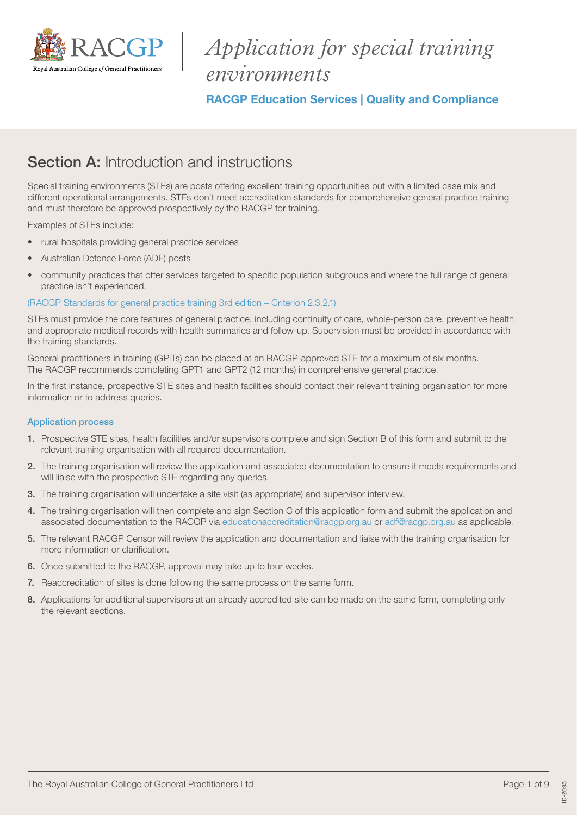

# *Application for special training environments*

RACGP Education Services | Quality and Compliance

# Section A: Introduction and instructions

Special training environments (STEs) are posts offering excellent training opportunities but with a limited case mix and different operational arrangements. STEs don't meet accreditation standards for comprehensive general practice training and must therefore be approved prospectively by the RACGP for training.

Examples of STEs include:

- rural hospitals providing general practice services
- Australian Defence Force (ADF) posts
- community practices that offer services targeted to specific population subgroups and where the full range of general practice isn't experienced.

## [\(RACGP Standards for general practice training 3rd edition – Criterion 2.3.2.1\)](https://www.racgp.org.au/education/education-providers/regional-training/standards-for-general-practice/standards-3rd-edition)

STEs must provide the core features of general practice, including continuity of care, whole-person care, preventive health and appropriate medical records with health summaries and follow-up. Supervision must be provided in accordance with the training standards.

General practitioners in training (GPiTs) can be placed at an RACGP-approved STE for a maximum of six months. The RACGP recommends completing GPT1 and GPT2 (12 months) in comprehensive general practice.

In the first instance, prospective STE sites and health facilities should contact their relevant training organisation for more information or to address queries.

### Application process

- 1. Prospective STE sites, health facilities and/or supervisors complete and sign Section B of this form and submit to the relevant training organisation with all required documentation.
- 2. The training organisation will review the application and associated documentation to ensure it meets requirements and will liaise with the prospective STE regarding any queries.
- 3. The training organisation will undertake a site visit (as appropriate) and supervisor interview.
- 4. The training organisation will then complete and sign Section C of this application form and submit the application and associated documentation to the RACGP via [educationaccreditation@racgp.org.au](mailto:educationaccreditation@racgp.org.au) or [adf@racgp.org.au](mailto:adf@racgp.org.au) as applicable.
- 5. The relevant RACGP Censor will review the application and documentation and liaise with the training organisation for more information or clarification.
- 6. Once submitted to the RACGP, approval may take up to four weeks.
- 7. Reaccreditation of sites is done following the same process on the same form.
- 8. Applications for additional supervisors at an already accredited site can be made on the same form, completing only the relevant sections.

ID-2093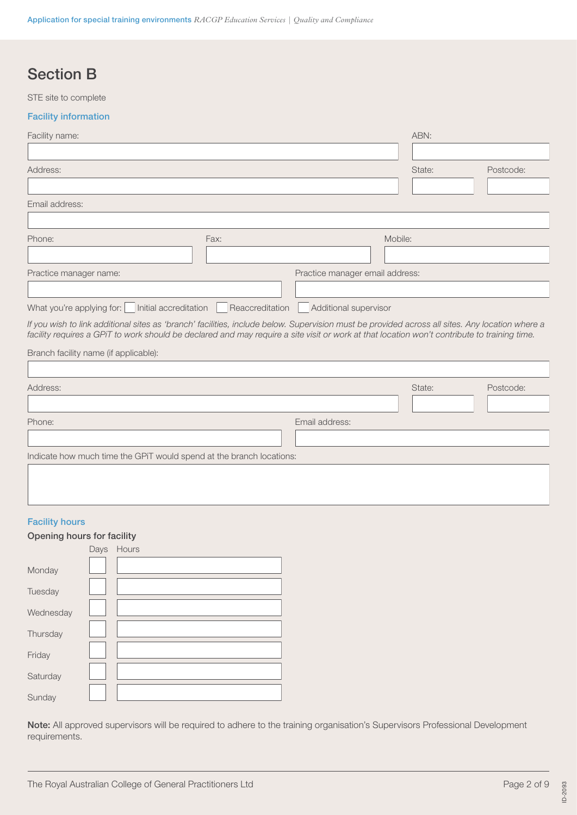# Section B

STE site to complete

### Facility information

| Facility name:                                                                                                                                                                                                                                                                                  |                 |                                 |         | ABN:   |           |
|-------------------------------------------------------------------------------------------------------------------------------------------------------------------------------------------------------------------------------------------------------------------------------------------------|-----------------|---------------------------------|---------|--------|-----------|
|                                                                                                                                                                                                                                                                                                 |                 |                                 |         |        |           |
| Address:                                                                                                                                                                                                                                                                                        |                 |                                 |         | State: | Postcode: |
|                                                                                                                                                                                                                                                                                                 |                 |                                 |         |        |           |
| Email address:                                                                                                                                                                                                                                                                                  |                 |                                 |         |        |           |
|                                                                                                                                                                                                                                                                                                 |                 |                                 |         |        |           |
| Phone:                                                                                                                                                                                                                                                                                          | Fax:            |                                 | Mobile: |        |           |
|                                                                                                                                                                                                                                                                                                 |                 |                                 |         |        |           |
| Practice manager name:                                                                                                                                                                                                                                                                          |                 | Practice manager email address: |         |        |           |
|                                                                                                                                                                                                                                                                                                 |                 |                                 |         |        |           |
| Initial accreditation<br>What you're applying for:                                                                                                                                                                                                                                              | Reaccreditation | Additional supervisor           |         |        |           |
| If you wish to link additional sites as 'branch' facilities, include below. Supervision must be provided across all sites. Any location where a<br>facility requires a GPiT to work should be declared and may require a site visit or work at that location won't contribute to training time. |                 |                                 |         |        |           |
| Branch facility name (if applicable):                                                                                                                                                                                                                                                           |                 |                                 |         |        |           |
|                                                                                                                                                                                                                                                                                                 |                 |                                 |         |        |           |
| Address:                                                                                                                                                                                                                                                                                        |                 |                                 |         | State: | Postcode: |
|                                                                                                                                                                                                                                                                                                 |                 |                                 |         |        |           |
| Phone:                                                                                                                                                                                                                                                                                          |                 | Email address:                  |         |        |           |
|                                                                                                                                                                                                                                                                                                 |                 |                                 |         |        |           |
| Indicate how much time the GPiT would spend at the branch locations:                                                                                                                                                                                                                            |                 |                                 |         |        |           |
|                                                                                                                                                                                                                                                                                                 |                 |                                 |         |        |           |
|                                                                                                                                                                                                                                                                                                 |                 |                                 |         |        |           |
|                                                                                                                                                                                                                                                                                                 |                 |                                 |         |        |           |

# Facility hours

## Opening hours for facility

|           | Days | Hours |
|-----------|------|-------|
| Monday    |      |       |
| Tuesday   |      |       |
| Wednesday |      |       |
| Thursday  |      |       |
| Friday    |      |       |
| Saturday  |      |       |
| Sunday    |      |       |

Note: All approved supervisors will be required to adhere to the training organisation's Supervisors Professional Development requirements.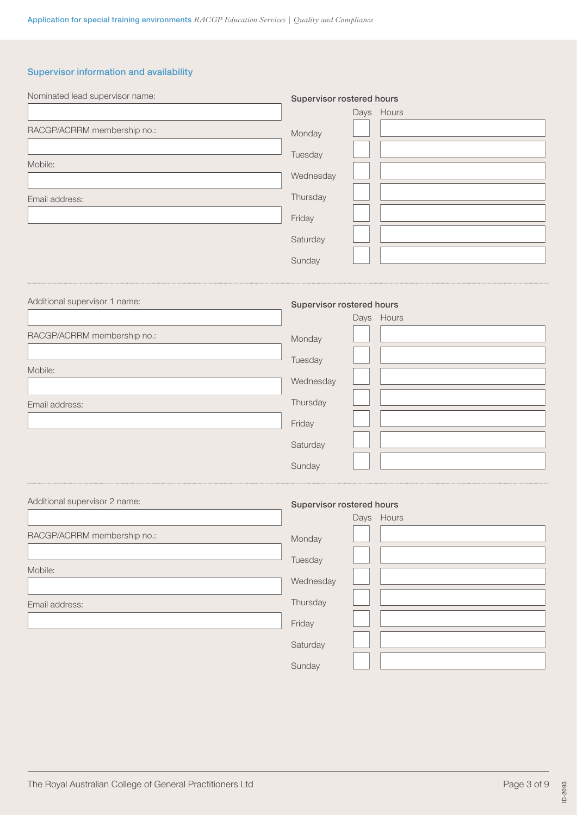# Supervisor information and availability

| Nominated lead supervisor name: | Supervisor rostered hours | Days Hours |  |
|---------------------------------|---------------------------|------------|--|
| RACGP/ACRRM membership no.:     | Monday                    |            |  |
|                                 | Tuesday                   |            |  |
| Mobile:                         | Wednesday                 |            |  |
|                                 |                           |            |  |
| Email address:                  | Thursday                  |            |  |
|                                 | Friday                    |            |  |
|                                 | Saturday                  |            |  |
|                                 | Sunday                    |            |  |
| Additional supervisor 1 name:   | Supervisor rostered hours | Days Hours |  |
| RACGP/ACRRM membership no.:     | Monday                    |            |  |
|                                 | Tuesday                   |            |  |
| Mobile:                         | Wednesday                 |            |  |
| Email address:                  | Thursday                  |            |  |
|                                 | Friday                    |            |  |
|                                 | Saturday                  |            |  |
|                                 | Sunday                    |            |  |
| Additional supervisor 2 name:   | Supervisor rostered hours | Days Hours |  |
| RACGP/ACRRM membership no.:     | Monday                    |            |  |
| Mobile:                         | Tuesday                   |            |  |
|                                 | Wednesday                 |            |  |
| Email address:                  | Thursday                  |            |  |
|                                 | Friday                    |            |  |
|                                 | Saturday                  |            |  |
|                                 | Sunday                    |            |  |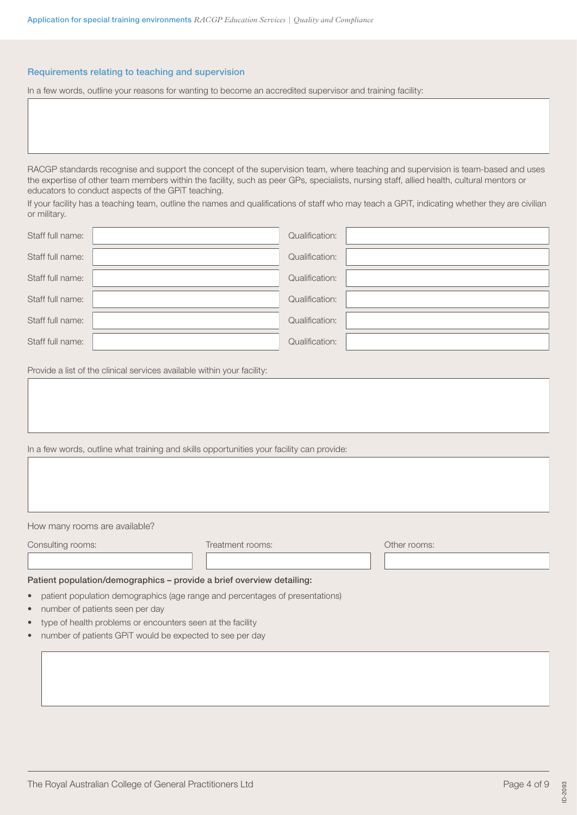#### Requirements relating to teaching and supervision

In a few words, outline your reasons for wanting to become an accredited supervisor and training facility:

RACGP standards recognise and support the concept of the supervision team, where teaching and supervision is team-based and uses the expertise of other team members within the facility, such as peer GPs, specialists, nursing staff, allied health, cultural mentors or educators to conduct aspects of the GPiT teaching.

If your facility has a teaching team, outline the names and qualifications of staff who may teach a GPiT, indicating whether they are civilian or military.

| Staff full name: | Qualification: |  |
|------------------|----------------|--|
| Staff full name: | Qualification: |  |
| Staff full name: | Qualification: |  |
| Staff full name: | Qualification: |  |
| Staff full name: | Qualification: |  |
| Staff full name: | Qualification: |  |
|                  |                |  |

Provide a list of the clinical services available within your facility:

In a few words, outline what training and skills opportunities your facility can provide:

How many rooms are available?

Consulting rooms: Treatment rooms: Other rooms:

#### Patient population/demographics – provide a brief overview detailing:

• patient population demographics (age range and percentages of presentations)

 $\begin{array}{c} \hline \end{array}$ 

- number of patients seen per day
- type of health problems or encounters seen at the facility
- number of patients GPiT would be expected to see per day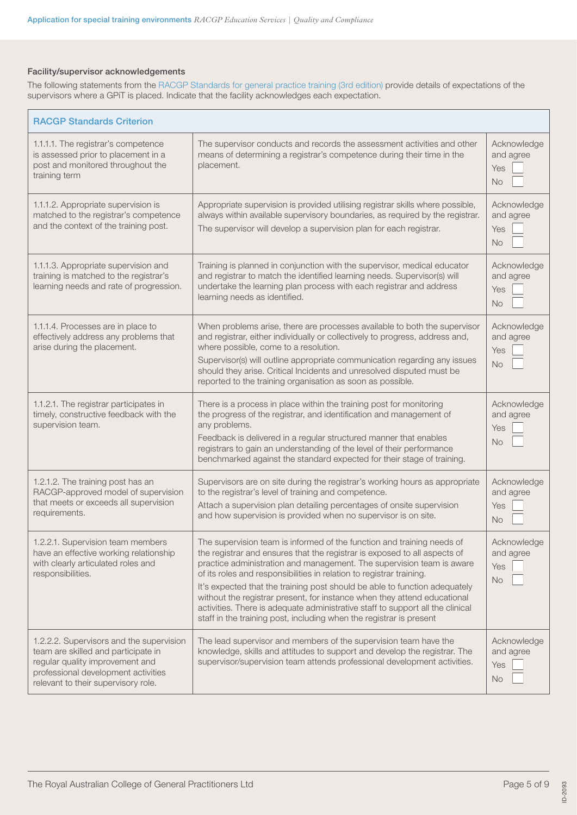# Facility/supervisor acknowledgements

The following statements from the [RACGP Standards for general practice training \(3rd edition\)](https://www.racgp.org.au/education/education-providers/regional-training/standards-for-general-practice/standards-3rd-edition) provide details of expectations of the supervisors where a GPiT is placed. Indicate that the facility acknowledges each expectation.

| <b>RACGP Standards Criterion</b>                                                                                                                                                                 |                                                                                                                                                                                                                                                                                                                                                                                                                                                                                                                                                                                                                         |                                              |
|--------------------------------------------------------------------------------------------------------------------------------------------------------------------------------------------------|-------------------------------------------------------------------------------------------------------------------------------------------------------------------------------------------------------------------------------------------------------------------------------------------------------------------------------------------------------------------------------------------------------------------------------------------------------------------------------------------------------------------------------------------------------------------------------------------------------------------------|----------------------------------------------|
| 1.1.1.1. The registrar's competence<br>is assessed prior to placement in a<br>post and monitored throughout the<br>training term                                                                 | The supervisor conducts and records the assessment activities and other<br>means of determining a registrar's competence during their time in the<br>placement.                                                                                                                                                                                                                                                                                                                                                                                                                                                         | Acknowledge<br>and agree<br>Yes<br><b>No</b> |
| 1.1.1.2. Appropriate supervision is<br>matched to the registrar's competence<br>and the context of the training post.                                                                            | Appropriate supervision is provided utilising registrar skills where possible,<br>always within available supervisory boundaries, as required by the registrar.<br>The supervisor will develop a supervision plan for each registrar.                                                                                                                                                                                                                                                                                                                                                                                   | Acknowledge<br>and agree<br>Yes<br><b>No</b> |
| 1.1.1.3. Appropriate supervision and<br>training is matched to the registrar's<br>learning needs and rate of progression.                                                                        | Training is planned in conjunction with the supervisor, medical educator<br>and registrar to match the identified learning needs. Supervisor(s) will<br>undertake the learning plan process with each registrar and address<br>learning needs as identified.                                                                                                                                                                                                                                                                                                                                                            | Acknowledge<br>and agree<br>Yes<br><b>No</b> |
| 1.1.1.4. Processes are in place to<br>effectively address any problems that<br>arise during the placement.                                                                                       | When problems arise, there are processes available to both the supervisor<br>and registrar, either individually or collectively to progress, address and,<br>where possible, come to a resolution.<br>Supervisor(s) will outline appropriate communication regarding any issues<br>should they arise. Critical Incidents and unresolved disputed must be<br>reported to the training organisation as soon as possible.                                                                                                                                                                                                  | Acknowledge<br>and agree<br>Yes<br><b>No</b> |
| 1.1.2.1. The registrar participates in<br>timely, constructive feedback with the<br>supervision team.                                                                                            | There is a process in place within the training post for monitoring<br>the progress of the registrar, and identification and management of<br>any problems.<br>Feedback is delivered in a regular structured manner that enables<br>registrars to gain an understanding of the level of their performance<br>benchmarked against the standard expected for their stage of training.                                                                                                                                                                                                                                     | Acknowledge<br>and agree<br>Yes<br><b>No</b> |
| 1.2.1.2. The training post has an<br>RACGP-approved model of supervision<br>that meets or exceeds all supervision<br>requirements.                                                               | Supervisors are on site during the registrar's working hours as appropriate<br>to the registrar's level of training and competence.<br>Attach a supervision plan detailing percentages of onsite supervision<br>and how supervision is provided when no supervisor is on site.                                                                                                                                                                                                                                                                                                                                          | Acknowledge<br>and agree<br>Yes<br><b>No</b> |
| 1.2.2.1. Supervision team members<br>have an effective working relationship<br>with clearly articulated roles and<br>responsibilities.                                                           | The supervision team is informed of the function and training needs of<br>the registrar and ensures that the registrar is exposed to all aspects of<br>practice administration and management. The supervision team is aware<br>of its roles and responsibilities in relation to registrar training.<br>It's expected that the training post should be able to function adequately<br>without the registrar present, for instance when they attend educational<br>activities. There is adequate administrative staff to support all the clinical<br>staff in the training post, including when the registrar is present | Acknowledge<br>and agree<br>Yes<br><b>No</b> |
| 1.2.2.2. Supervisors and the supervision<br>team are skilled and participate in<br>regular quality improvement and<br>professional development activities<br>relevant to their supervisory role. | The lead supervisor and members of the supervision team have the<br>knowledge, skills and attitudes to support and develop the registrar. The<br>supervisor/supervision team attends professional development activities.                                                                                                                                                                                                                                                                                                                                                                                               | Acknowledge<br>and agree<br>Yes<br>No.       |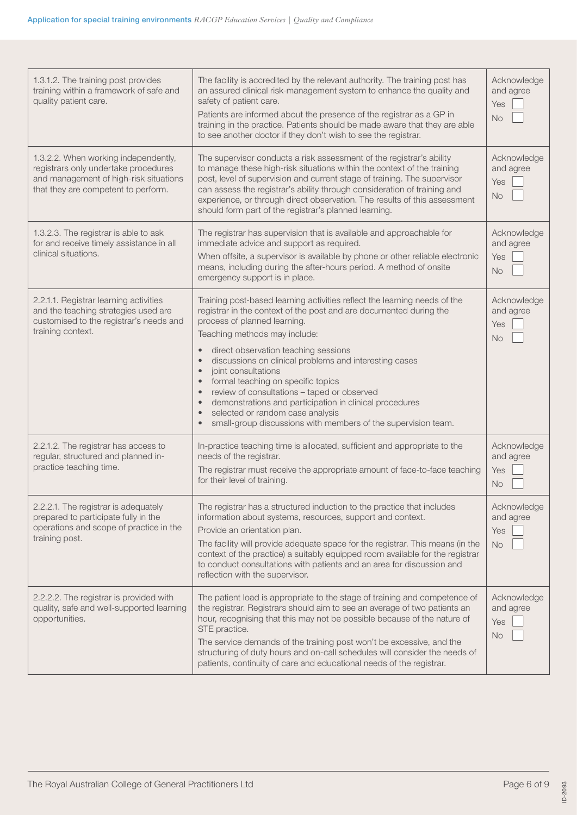| 1.3.1.2. The training post provides<br>training within a framework of safe and<br>quality patient care.                                                       | The facility is accredited by the relevant authority. The training post has<br>an assured clinical risk-management system to enhance the quality and<br>safety of patient care.<br>Patients are informed about the presence of the registrar as a GP in<br>training in the practice. Patients should be made aware that they are able<br>to see another doctor if they don't wish to see the registrar.                                                                                                                                                                                                                                                                      | Acknowledge<br>and agree<br>Yes<br><b>No</b> |
|---------------------------------------------------------------------------------------------------------------------------------------------------------------|------------------------------------------------------------------------------------------------------------------------------------------------------------------------------------------------------------------------------------------------------------------------------------------------------------------------------------------------------------------------------------------------------------------------------------------------------------------------------------------------------------------------------------------------------------------------------------------------------------------------------------------------------------------------------|----------------------------------------------|
| 1.3.2.2. When working independently,<br>registrars only undertake procedures<br>and management of high-risk situations<br>that they are competent to perform. | The supervisor conducts a risk assessment of the registrar's ability<br>to manage these high-risk situations within the context of the training<br>post, level of supervision and current stage of training. The supervisor<br>can assess the registrar's ability through consideration of training and<br>experience, or through direct observation. The results of this assessment<br>should form part of the registrar's planned learning.                                                                                                                                                                                                                                | Acknowledge<br>and agree<br>Yes<br><b>No</b> |
| 1.3.2.3. The registrar is able to ask<br>for and receive timely assistance in all<br>clinical situations.                                                     | The registrar has supervision that is available and approachable for<br>immediate advice and support as required.<br>When offsite, a supervisor is available by phone or other reliable electronic<br>means, including during the after-hours period. A method of onsite<br>emergency support is in place.                                                                                                                                                                                                                                                                                                                                                                   | Acknowledge<br>and agree<br>Yes<br><b>No</b> |
| 2.2.1.1. Registrar learning activities<br>and the teaching strategies used are<br>customised to the registrar's needs and<br>training context.                | Training post-based learning activities reflect the learning needs of the<br>registrar in the context of the post and are documented during the<br>process of planned learning.<br>Teaching methods may include:<br>direct observation teaching sessions<br>discussions on clinical problems and interesting cases<br>joint consultations<br>$\bullet$<br>formal teaching on specific topics<br>$\bullet$<br>review of consultations - taped or observed<br>$\bullet$<br>demonstrations and participation in clinical procedures<br>$\bullet$<br>selected or random case analysis<br>$\bullet$<br>small-group discussions with members of the supervision team.<br>$\bullet$ | Acknowledge<br>and agree<br>Yes<br><b>No</b> |
| 2.2.1.2. The registrar has access to<br>regular, structured and planned in-<br>practice teaching time.                                                        | In-practice teaching time is allocated, sufficient and appropriate to the<br>needs of the registrar.<br>The registrar must receive the appropriate amount of face-to-face teaching<br>for their level of training.                                                                                                                                                                                                                                                                                                                                                                                                                                                           | Acknowledge<br>and agree<br>Yes<br><b>No</b> |
| 2.2.2.1. The registrar is adequately<br>prepared to participate fully in the<br>operations and scope of practice in the<br>training post.                     | The registrar has a structured induction to the practice that includes<br>information about systems, resources, support and context.<br>Provide an orientation plan.<br>The facility will provide adequate space for the registrar. This means (in the<br>context of the practice) a suitably equipped room available for the registrar<br>to conduct consultations with patients and an area for discussion and<br>reflection with the supervisor.                                                                                                                                                                                                                          | Acknowledge<br>and agree<br>Yes<br><b>No</b> |
| 2.2.2.2. The registrar is provided with<br>quality, safe and well-supported learning<br>opportunities.                                                        | The patient load is appropriate to the stage of training and competence of<br>the registrar. Registrars should aim to see an average of two patients an<br>hour, recognising that this may not be possible because of the nature of<br>STE practice.<br>The service demands of the training post won't be excessive, and the<br>structuring of duty hours and on-call schedules will consider the needs of<br>patients, continuity of care and educational needs of the registrar.                                                                                                                                                                                           | Acknowledge<br>and agree<br>Yes<br><b>No</b> |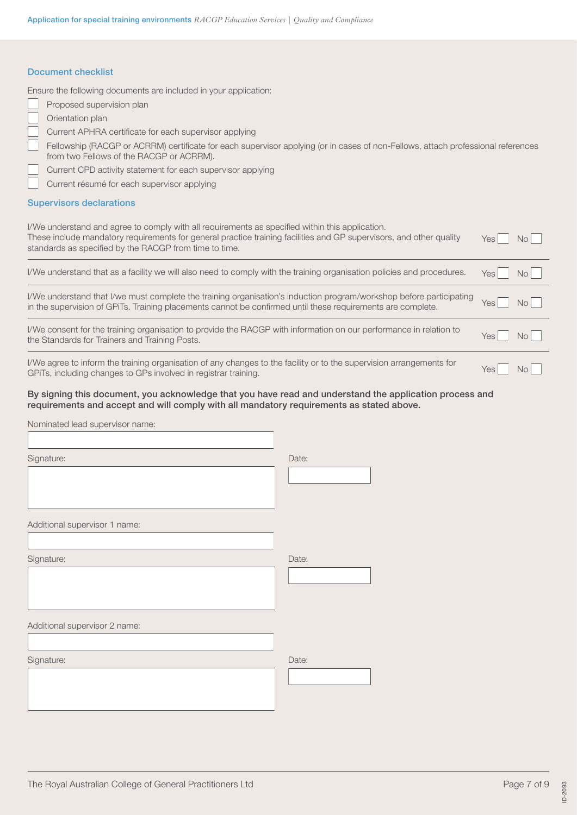#### Document checklist

Ensure the following documents are included in your application:

| Proposed supervision plan |
|---------------------------|
|---------------------------|

- Orientation plan
- Current APHRA certificate for each supervisor applying
- Fellowship (RACGP or ACRRM) certificate for each supervisor applying (or in cases of non-Fellows, attach professional references from two Fellows of the RACGP or ACRRM).
- Current CPD activity statement for each supervisor applying

Current résumé for each supervisor applying

#### Supervisors declarations

| I/We understand and agree to comply with all requirements as specified within this application.<br>These include mandatory requirements for general practice training facilities and GP supervisors, and other quality<br>standards as specified by the RACGP from time to time. | Yes              | No             |
|----------------------------------------------------------------------------------------------------------------------------------------------------------------------------------------------------------------------------------------------------------------------------------|------------------|----------------|
| I/We understand that as a facility we will also need to comply with the training organisation policies and procedures.                                                                                                                                                           | Yes I            | No             |
| I/We understand that I/we must complete the training organisation's induction program/workshop before participating<br>in the supervision of GPiTs. Training placements cannot be confirmed until these requirements are complete.                                               | Yes <sup>I</sup> | N <sub>O</sub> |
| I/We consent for the training organisation to provide the RACGP with information on our performance in relation to<br>the Standards for Trainers and Training Posts.                                                                                                             | Yes I            | No             |
| I/We agree to inform the training organisation of any changes to the facility or to the supervision arrangements for<br>GPITs, including changes to GPs involved in registrar training.                                                                                          | Yes              | N <sub>O</sub> |

### By signing this document, you acknowledge that you have read and understand the application process and requirements and accept and will comply with all mandatory requirements as stated above.

Nominated lead supervisor name:

| Signature:                    | Date: |
|-------------------------------|-------|
|                               |       |
|                               |       |
|                               |       |
|                               |       |
| Additional supervisor 1 name: |       |
|                               |       |
| Signature:                    | Date: |
|                               |       |
|                               |       |
|                               |       |
|                               |       |
| Additional supervisor 2 name: |       |
|                               |       |
| Signature:                    | Date: |
|                               |       |
|                               |       |
|                               |       |
|                               |       |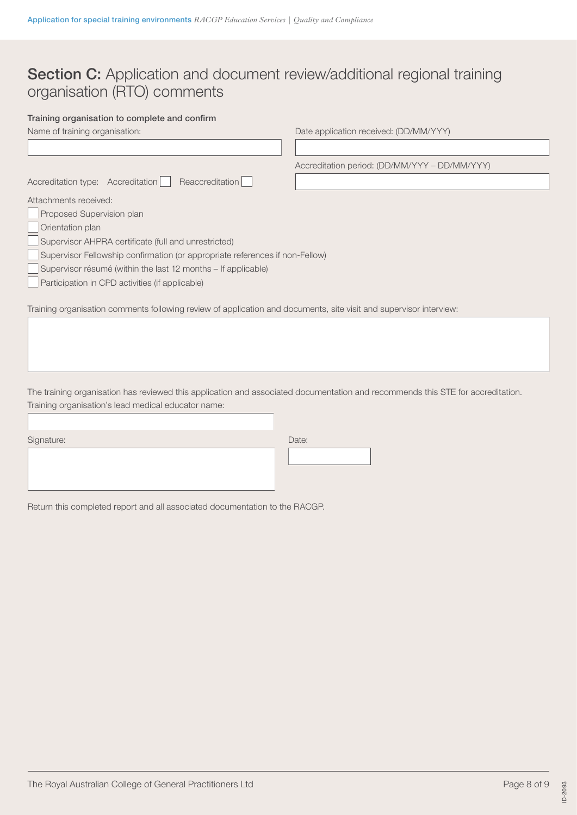# Section C: Application and document review/additional regional training organisation (RTO) comments

# Training organisation to complete and confirm

| Name of training organisation:                                                                                     | Date application received: (DD/MM/YYY)        |
|--------------------------------------------------------------------------------------------------------------------|-----------------------------------------------|
|                                                                                                                    |                                               |
|                                                                                                                    | Accreditation period: (DD/MM/YYY - DD/MM/YYY) |
| Reaccreditation<br>Accreditation type: Accreditation                                                               |                                               |
| Attachments received:                                                                                              |                                               |
| Proposed Supervision plan                                                                                          |                                               |
| Orientation plan                                                                                                   |                                               |
| Supervisor AHPRA certificate (full and unrestricted)                                                               |                                               |
| Supervisor Fellowship confirmation (or appropriate references if non-Fellow)                                       |                                               |
| Supervisor résumé (within the last 12 months – If applicable)                                                      |                                               |
| Participation in CPD activities (if applicable)                                                                    |                                               |
|                                                                                                                    |                                               |
| Training organisation comments following review of application and documents, site visit and supervisor interview: |                                               |

The training organisation has reviewed this application and associated documentation and recommends this STE for accreditation. Training organisation's lead medical educator name:

| Signature: | Date: |
|------------|-------|
|            |       |
|            |       |
|            |       |

Return this completed report and all associated documentation to the RACGP.